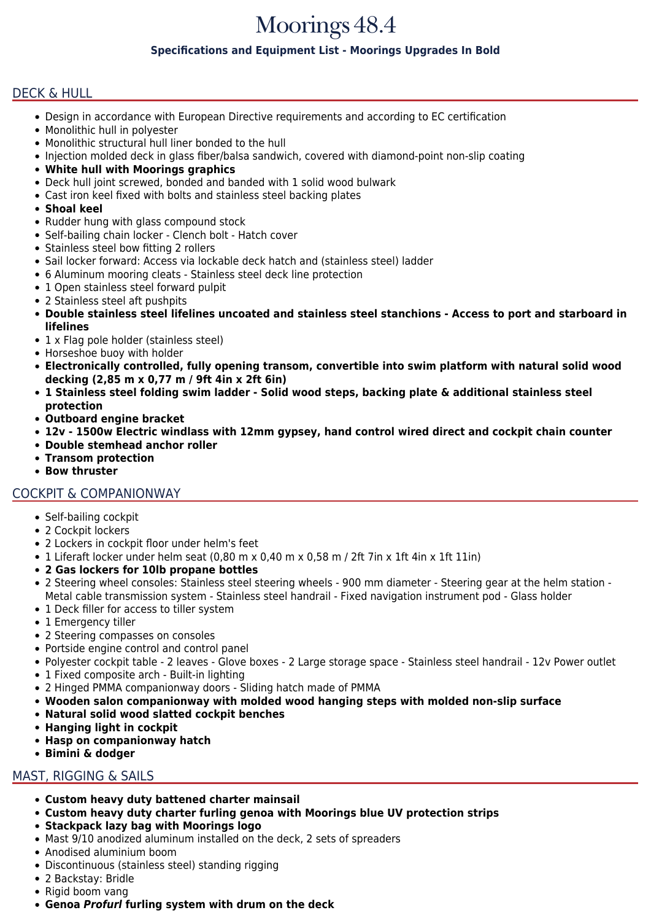# Moorings 48.4

### **Specifications and Equipment List - Moorings Upgrades In Bold**

# DECK & HULL

- Design in accordance with European Directive requirements and according to EC certification
- Monolithic hull in polyester
- Monolithic structural hull liner bonded to the hull
- Injection molded deck in glass fiber/balsa sandwich, covered with diamond-point non-slip coating
- **White hull with Moorings graphics**
- Deck hull joint screwed, bonded and banded with 1 solid wood bulwark
- Cast iron keel fixed with bolts and stainless steel backing plates
- **Shoal keel**
- Rudder hung with glass compound stock
- Self-bailing chain locker Clench bolt Hatch cover
- Stainless steel bow fitting 2 rollers
- Sail locker forward: Access via lockable deck hatch and (stainless steel) ladder
- 6 Aluminum mooring cleats Stainless steel deck line protection
- 1 Open stainless steel forward pulpit
- 2 Stainless steel aft pushpits
- **Double stainless steel lifelines uncoated and stainless steel stanchions Access to port and starboard in lifelines**
- 1 x Flag pole holder (stainless steel)
- Horseshoe buoy with holder
- **Electronically controlled, fully opening transom, convertible into swim platform with natural solid wood decking (2,85 m x 0,77 m / 9ft 4in x 2ft 6in)**
- **1 Stainless steel folding swim ladder Solid wood steps, backing plate & additional stainless steel protection**
- **Outboard engine bracket**
- **12v 1500w Electric windlass with 12mm gypsey, hand control wired direct and cockpit chain counter**
- **Double stemhead anchor roller**
- **Transom protection**
- **Bow thruster**

## COCKPIT & COMPANIONWAY

- Self-bailing cockpit
- 2 Cockpit lockers
- 2 Lockers in cockpit floor under helm's feet
- 1 Liferaft locker under helm seat (0,80 m x 0,40 m x 0,58 m / 2ft 7in x 1ft 4in x 1ft 11in)
- **2 Gas lockers for 10lb propane bottles**
- 2 Steering wheel consoles: Stainless steel steering wheels 900 mm diameter Steering gear at the helm station Metal cable transmission system - Stainless steel handrail - Fixed navigation instrument pod - Glass holder
- 1 Deck filler for access to tiller system
- 1 Emergency tiller
- 2 Steering compasses on consoles
- Portside engine control and control panel
- Polyester cockpit table 2 leaves Glove boxes 2 Large storage space Stainless steel handrail 12v Power outlet
- 1 Fixed composite arch Built-in lighting
- 2 Hinged PMMA companionway doors Sliding hatch made of PMMA
- **Wooden salon companionway with molded wood hanging steps with molded non-slip surface**
- **Natural solid wood slatted cockpit benches**
- **Hanging light in cockpit**
- **Hasp on companionway hatch**
- **Bimini & dodger**

## MAST, RIGGING & SAILS

- **Custom heavy duty battened charter mainsail**
- **Custom heavy duty charter furling genoa with Moorings blue UV protection strips**
- **Stackpack lazy bag with Moorings logo**
- Mast 9/10 anodized aluminum installed on the deck, 2 sets of spreaders
- Anodised aluminium boom
- Discontinuous (stainless steel) standing rigging
- 2 Backstay: Bridle
- Rigid boom vang
- **Genoa** *Profurl* **furling system with drum on the deck**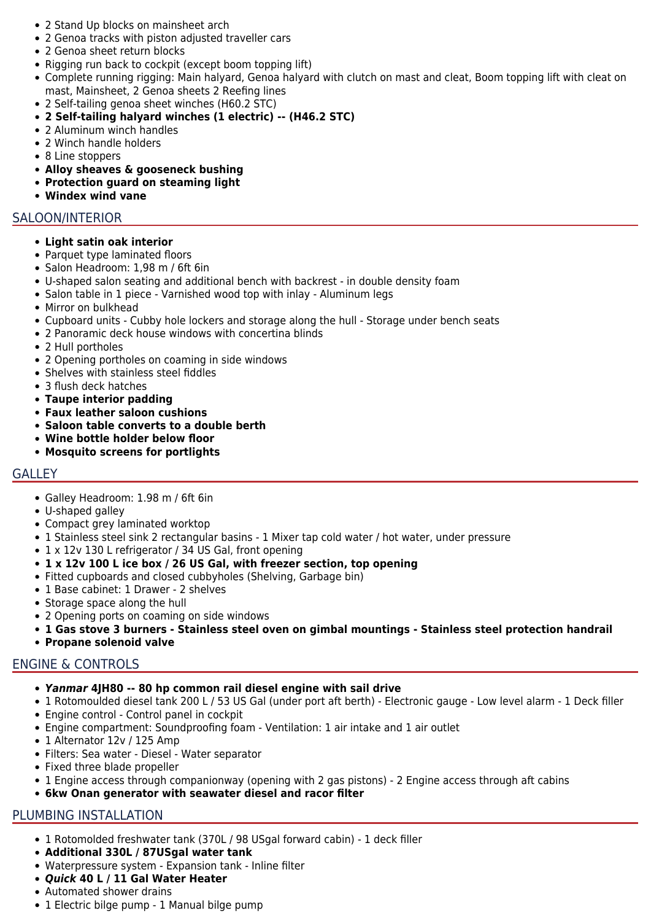- 2 Stand Up blocks on mainsheet arch
- 2 Genoa tracks with piston adjusted traveller cars
- 2 Genoa sheet return blocks
- Rigging run back to cockpit (except boom topping lift)
- Complete running rigging: Main halyard, Genoa halyard with clutch on mast and cleat, Boom topping lift with cleat on mast, Mainsheet, 2 Genoa sheets 2 Reefing lines
- 2 Self-tailing genoa sheet winches (H60.2 STC)
- **2 Self-tailing halyard winches (1 electric) -- (H46.2 STC)**
- 2 Aluminum winch handles
- 2 Winch handle holders
- 8 Line stoppers
- **Alloy sheaves & gooseneck bushing**
- **Protection guard on steaming light**
- **Windex wind vane**

### SALOON/INTERIOR

#### **Light satin oak interior**

- Parquet type laminated floors
- Salon Headroom: 1,98 m / 6ft 6in
- U-shaped salon seating and additional bench with backrest in double density foam
- Salon table in 1 piece Varnished wood top with inlay Aluminum legs
- Mirror on bulkhead
- Cupboard units Cubby hole lockers and storage along the hull Storage under bench seats
- 2 Panoramic deck house windows with concertina blinds
- 2 Hull portholes
- 2 Opening portholes on coaming in side windows
- Shelves with stainless steel fiddles
- 3 flush deck hatches
- **Taupe interior padding**
- **Faux leather saloon cushions**
- **Saloon table converts to a double berth**
- **Wine bottle holder below floor**
- **Mosquito screens for portlights**

#### **GALLEY**

- Galley Headroom: 1.98 m / 6ft 6in
- U-shaped galley
- Compact grey laminated worktop
- 1 Stainless steel sink 2 rectangular basins 1 Mixer tap cold water / hot water, under pressure
- 1 x 12v 130 L refrigerator / 34 US Gal, front opening
- **1 x 12v 100 L ice box / 26 US Gal, with freezer section, top opening**
- Fitted cupboards and closed cubbyholes (Shelving, Garbage bin)
- 1 Base cabinet: 1 Drawer 2 shelves
- Storage space along the hull
- 2 Opening ports on coaming on side windows
- **1 Gas stove 3 burners Stainless steel oven on gimbal mountings Stainless steel protection handrail**
- **Propane solenoid valve**

## ENGINE & CONTROLS

- *Yanmar* **4JH80 -- 80 hp common rail diesel engine with sail drive**
- 1 Rotomoulded diesel tank 200 L / 53 US Gal (under port aft berth) Electronic gauge Low level alarm 1 Deck filler
- Engine control Control panel in cockpit
- Engine compartment: Soundproofing foam Ventilation: 1 air intake and 1 air outlet
- 1 Alternator 12v / 125 Amp
- Filters: Sea water Diesel Water separator
- Fixed three blade propeller
- 1 Engine access through companionway (opening with 2 gas pistons) 2 Engine access through aft cabins
- **6kw Onan generator with seawater diesel and racor filter**

## PLUMBING INSTALLATION

- 1 Rotomolded freshwater tank (370L / 98 USgal forward cabin) 1 deck filler
- **Additional 330L / 87USgal water tank**
- Waterpressure system Expansion tank Inline filter
- *Quick* **40 L / 11 Gal Water Heater**
- Automated shower drains
- 1 Electric bilge pump 1 Manual bilge pump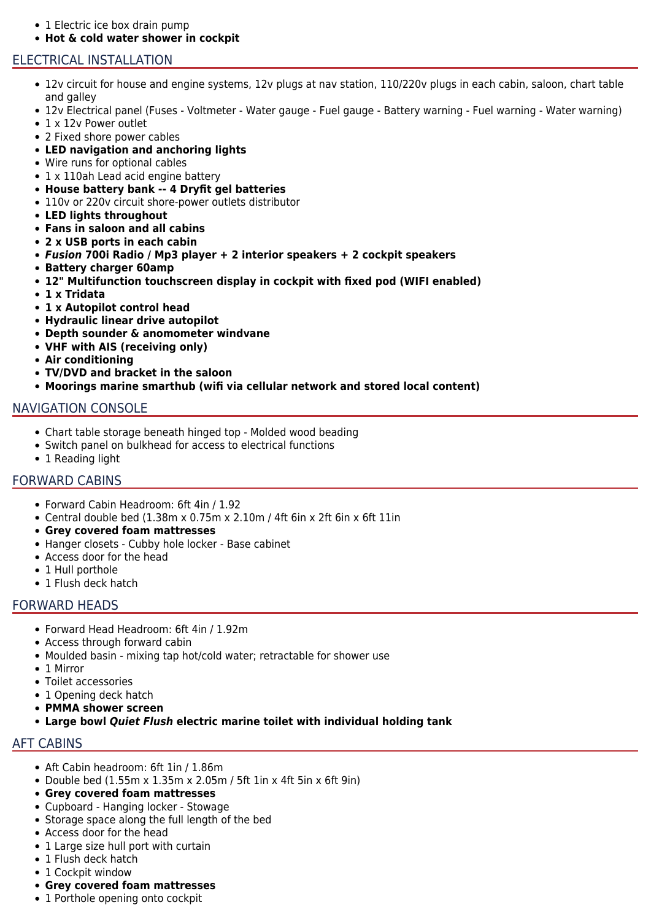- 1 Electric ice box drain pump
- **Hot & cold water shower in cockpit**

#### ELECTRICAL INSTALLATION

- 12v circuit for house and engine systems, 12v plugs at nav station, 110/220v plugs in each cabin, saloon, chart table and galley
- 12v Electrical panel (Fuses Voltmeter Water gauge Fuel gauge Battery warning Fuel warning Water warning)
- 1 x 12 v Power outlet
- 2 Fixed shore power cables
- **LED navigation and anchoring lights**
- Wire runs for optional cables
- 1 x 110ah Lead acid engine battery
- **House battery bank -- 4 Dryfit gel batteries**
- 110v or 220v circuit shore-power outlets distributor
- **LED lights throughout**
- **Fans in saloon and all cabins**
- **2 x USB ports in each cabin**
- *Fusion* **700i Radio / Mp3 player + 2 interior speakers + 2 cockpit speakers**
- **Battery charger 60amp**
- **12" Multifunction touchscreen display in cockpit with fixed pod (WIFI enabled)**
- **1 x Tridata**
- **1 x Autopilot control head**
- **Hydraulic linear drive autopilot**
- **Depth sounder & anomometer windvane**
- **VHF with AIS (receiving only)**
- **Air conditioning**
- **TV/DVD and bracket in the saloon**
- **Moorings marine smarthub (wifi via cellular network and stored local content)**

#### NAVIGATION CONSOLE

- Chart table storage beneath hinged top Molded wood beading
- Switch panel on bulkhead for access to electrical functions
- 1 Reading light

#### FORWARD CABINS

- Forward Cabin Headroom: 6ft 4in / 1.92
- Central double bed (1.38m x 0.75m x 2.10m / 4ft 6in x 2ft 6in x 6ft 11in
- **Grey covered foam mattresses**
- Hanger closets Cubby hole locker Base cabinet
- Access door for the head
- 1 Hull porthole
- 1 Flush deck hatch

#### FORWARD HEADS

- Forward Head Headroom: 6ft 4in / 1.92m
- Access through forward cabin
- Moulded basin mixing tap hot/cold water; retractable for shower use
- 1 Mirror
- Toilet accessories
- 1 Opening deck hatch
- **PMMA shower screen**
- **Large bowl** *Quiet Flush* **electric marine toilet with individual holding tank**

# AFT CABINS

- Aft Cabin headroom: 6ft 1in / 1.86m
- Double bed (1.55m x 1.35m x 2.05m / 5ft 1in x 4ft 5in x 6ft 9in)
- **Grey covered foam mattresses**
- Cupboard Hanging locker Stowage
- Storage space along the full length of the bed
- Access door for the head
- 1 Large size hull port with curtain
- 1 Flush deck hatch
- 1 Cockpit window
- **Grey covered foam mattresses**
- 1 Porthole opening onto cockpit